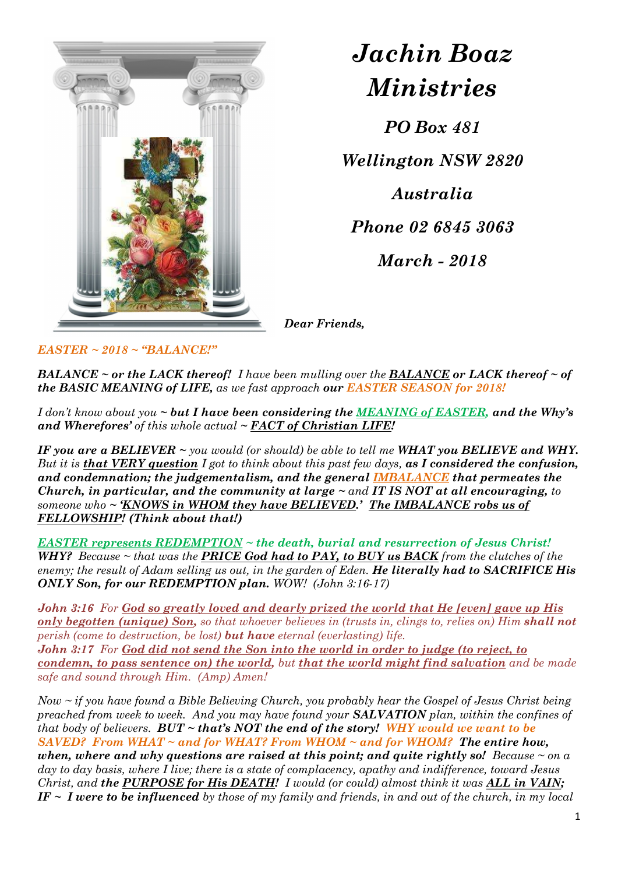

Jachin Boaz Ministries

PO Box 481

Wellington NSW 2820

Australia Phone 02 6845 3063 March - 2018

Dear Friends,

 $EASTER \sim 2018 \sim "BALANCE!"$ 

**BALANCE** ~ or the LACK thereof! I have been mulling over the **BALANCE** or LACK thereof ~ of the BASIC MEANING of LIFE, as we fast approach our EASTER SEASON for 2018!

I don't know about you  $\sim$  but I have been considering the MEANING of EASTER, and the Why's and Wherefores' of this whole actual  $\sim$  FACT of Christian LIFE!

IF you are a BELIEVER  $\sim$  you would (or should) be able to tell me WHAT you BELIEVE and WHY. But it is that VERY question I got to think about this past few days, as I considered the confusion, and condemnation; the judgementalism, and the general IMBALANCE that permeates the Church, in particular, and the community at large  $\sim$  and IT IS NOT at all encouraging, to someone who ~ 'KNOWS in WHOM they have BELIEVED.' The IMBALANCE robs us of FELLOWSHIP! (Think about that!)

EASTER represents REDEMPTION ~ the death, burial and resurrection of Jesus Christ! WHY? Because  $\sim$  that was the **PRICE God had to PAY, to BUY us BACK** from the clutches of the enemy; the result of Adam selling us out, in the garden of Eden. He literally had to SACRIFICE His ONLY Son, for our REDEMPTION plan. WOW! (John 3:16-17)

John 3:16 For God so greatly loved and dearly prized the world that He [even] gave up His only begotten (unique) Son, so that whoever believes in (trusts in, clings to, relies on) Him shall not perish (come to destruction, be lost) but have eternal (everlasting) life. John 3:17 For God did not send the Son into the world in order to judge (to reject, to condemn, to pass sentence on) the world, but that the world might find salvation and be made safe and sound through Him. (Amp) Amen!

Now  $\sim$  if you have found a Bible Believing Church, you probably hear the Gospel of Jesus Christ being preached from week to week. And you may have found your **SALVATION** plan, within the confines of that body of believers. BUT  $\sim$  that's NOT the end of the story! WHY would we want to be SAVED? From WHAT  $\sim$  and for WHAT? From WHOM  $\sim$  and for WHOM? The entire how, when, where and why questions are raised at this point; and quite rightly so! Because  $\sim$  on a day to day basis, where I live; there is a state of complacency, apathy and indifference, toward Jesus Christ, and the PURPOSE for His DEATH! I would (or could) almost think it was ALL in VAIN; IF  $\sim$  I were to be influenced by those of my family and friends, in and out of the church, in my local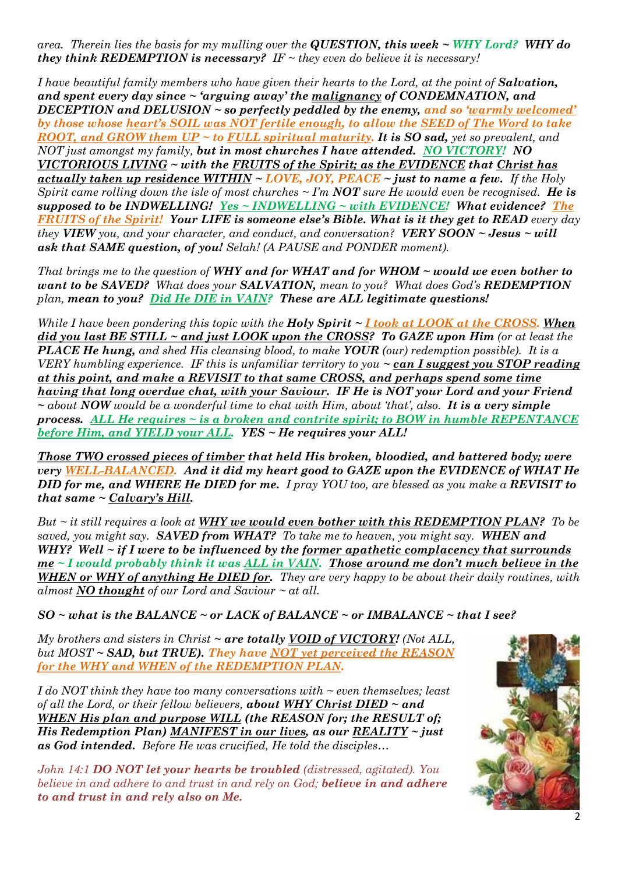area. Therein lies the basis for my mulling over the QUESTION, this week  $\sim$  WHY Lord? WHY do they think REDEMPTION is necessary? IF  $\sim$  they even do believe it is necessary!

I have beautiful family members who have given their hearts to the Lord, at the point of **Salvation**, and spent every day since  $\sim$  'arguing away' the malignancy of CONDEMNATION, and DECEPTION and DELUSION ~ so perfectly peddled by the enemy, and so 'warmly welcomed' by those whose heart's SOIL was NOT fertile enough, to allow the SEED of The Word to take ROOT, and GROW them  $UP \sim$  to FULL spiritual maturity. It is SO sad, yet so prevalent, and NOT just amongst my family, but in most churches I have attended. NO VICTORY! NO VICTORIOUS LIVING ~ with the FRUITS of the Spirit; as the EVIDENCE that Christ has <u>actually taken up residence WITHIN</u>  $\sim$  LOVE, JOY, PEACE  $\sim$  just to name a few. If the Holy Spirit came rolling down the isle of most churches  $\sim$  I'm **NOT** sure He would even be recognised. He is supposed to be INDWELLING! Yes  $\sim$  INDWELLING  $\sim$  with EVIDENCE! What evidence? The FRUITS of the Spirit! Your LIFE is someone else's Bible. What is it they get to READ every day they VIEW you, and your character, and conduct, and conversation? VERY SOON  $\sim$  Jesus  $\sim$  will ask that SAME question, of you! Selah! (A PAUSE and PONDER moment).

That brings me to the question of WHY and for WHAT and for WHOM  $\sim$  would we even bother to want to be SAVED? What does your SALVATION, mean to you? What does God's REDEMPTION plan, mean to you? Did He DIE in VAIN? These are ALL legitimate questions!

While I have been pondering this topic with the **Holy Spirit**  $\sim$  **I took at LOOK at the CROSS. When**  $\overline{did}$  you last BE STILL ~ and just LOOK upon the CROSS? To GAZE upon Him (or at least the **PLACE He hung,** and shed His cleansing blood, to make **YOUR** (our) redemption possible). It is a VERY humbling experience. IF this is unfamiliar territory to you  $\sim$  can I suggest you STOP reading at this point, and make a REVISIT to that same CROSS, and perhaps spend some time having that long overdue chat, with your Saviour. IF He is NOT your Lord and your Friend  $\sim$  about NOW would be a wonderful time to chat with Him, about 'that', also. It is a very simple process. ALL He requires  $\sim$  is a broken and contrite spirit; to BOW in humble REPENTANCE before Him, and YIELD your ALL. YES ~ He requires your ALL!

Those TWO crossed pieces of timber that held His broken, bloodied, and battered body; were very WELL-BALANCED. And it did my heart good to GAZE upon the EVIDENCE of WHAT He DID for me, and WHERE He DIED for me. I pray YOU too, are blessed as you make a REVISIT to that same  $\sim$  Calvary's Hill.

But  $\sim$  it still requires a look at WHY we would even bother with this REDEMPTION PLAN? To be saved, you might say. SAVED from WHAT? To take me to heaven, you might say. WHEN and WHY? Well  $\sim$  if I were to be influenced by the <u>former apathetic complacency that surrounds</u>  $me < I$  would probably think it was ALL in VAIN. Those around me don't much believe in the WHEN or WHY of anything He DIED for. They are very happy to be about their daily routines, with almost **NO** thought of our Lord and Saviour  $\sim$  at all.

 $SO ~~ ~$ what is the BALANCE  $~ \sim$  or LACK of BALANCE  $~ \sim$  or IMBALANCE  $~ \sim$  that I see?

My brothers and sisters in Christ  $\sim$  are totally VOID of VICTORY! (Not ALL, but  $MOST \sim SAD$ , but TRUE). They have NOT yet perceived the REASON for the WHY and WHEN of the REDEMPTION PLAN.

I do NOT think they have too many conversations with  $\sim$  even themselves; least of all the Lord, or their fellow believers, **about WHY Christ DIED**  $\sim$  and WHEN His plan and purpose WILL (the REASON for; the RESULT of; His Redemption Plan) MANIFEST in our lives, as our REALITY  $\sim$  just as God intended. Before He was crucified, He told the disciples…

John 14:1 **DO NOT let your hearts be troubled** (distressed, agitated). You believe in and adhere to and trust in and rely on God; **believe in and adhere** to and trust in and rely also on Me.

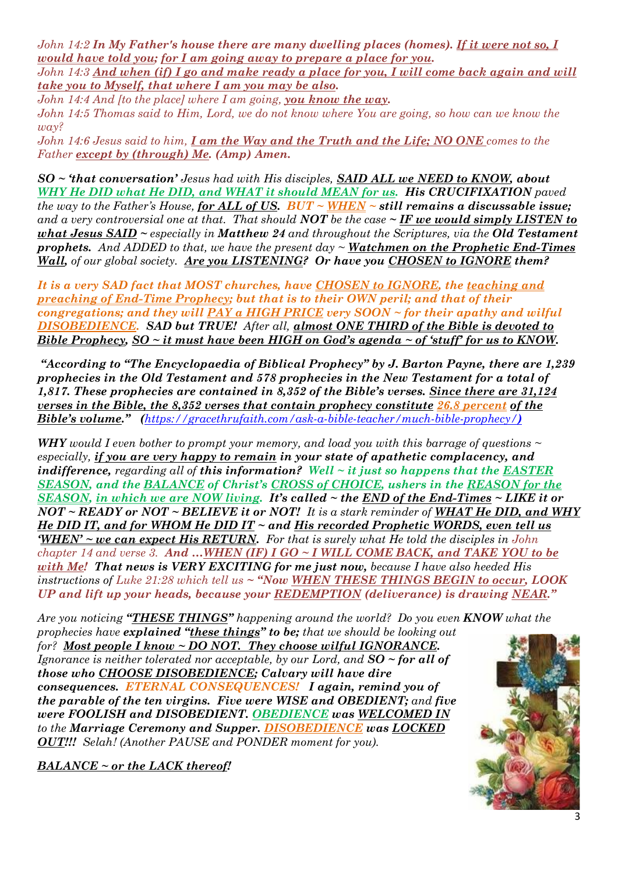John 14:2 In My Father's house there are many dwelling places (homes). If it were not so, I would have told you; for I am going away to prepare a place for you.  $John\ 14:3\ And\ when\ (if)\ I\ go\ and\ make\ ready\ a\ place\ for\ you\ I\ will\ come\ back\ again\ and\ will$ 

take you to Myself, that where I am you may be also.

John 14:4 And [to the place] where I am going, you know the way.

John 14:5 Thomas said to Him, Lord, we do not know where You are going, so how can we know the way?

John 14:6 Jesus said to him,  $I$  am the Way and the Truth and the Life; NO ONE comes to the Father except by (through) Me. (Amp) Amen.

SO ~ 'that conversation' Jesus had with His disciples, SAID ALL we NEED to KNOW, about WHY He DID what He DID, and WHAT it should MEAN for us. His CRUCIFIXATION paved the way to the Father's House, for ALL of US.  $BUT \sim WHEN \sim still$  remains a discussable issue; and a very controversial one at that. That should **NOT** be the case  $\sim$  **IF we would simply LISTEN to** what Jesus SAID  $\sim$  especially in Matthew 24 and throughout the Scriptures, via the Old Testament **prophets.** And ADDED to that, we have the present  $day \sim \text{Watchmen}$  on the Prophetic End-Times Wall, of our global society. Are you LISTENING? Or have you CHOSEN to IGNORE them?

It is a very SAD fact that MOST churches, have CHOSEN to IGNORE, the teaching and preaching of End-Time Prophecy; but that is to their OWN peril; and that of their congregations; and they will PAY a HIGH PRICE very  $S OON \sim$  for their apathy and wilful DISOBEDIENCE. SAD but TRUE! After all, almost ONE THIRD of the Bible is devoted to Bible Prophecy,  $SO \sim it$  must have been HIGH on God's agenda  $\sim$  of 'stuff' for us to KNOW.

 "According to "The Encyclopaedia of Biblical Prophecy" by J. Barton Payne, there are 1,239 prophecies in the Old Testament and 578 prophecies in the New Testament for a total of 1,817. These prophecies are contained in 8,352 of the Bible's verses. Since there are 31,124 verses in the Bible, the  $8.352$  verses that contain prophecy constitute  $26.8$  percent of the Bible's volume." (https://gracethrufaith.com/ask-a-bible-teacher/much-bible-prophecy/)

WHY would I even bother to prompt your memory, and load you with this barrage of questions  $\sim$ especially, if you are very happy to remain in your state of apathetic complacency, and indifference, regarding all of this information? Well  $\sim$  it just so happens that the EASTER SEASON, and the BALANCE of Christ's CROSS of CHOICE, ushers in the REASON for the <u>SEASON, in which we are NOW living</u>. It's called  $\sim$  the END of the End-Times  $\sim$  LIKE it or  $NOT \sim READV$  or  $NOT \sim BELIEVE$  it or  $NOT'$ . It is a stark reminder of WHAT He DID, and WHY He DID IT, and for WHOM He DID IT ~ and His recorded Prophetic WORDS, even tell us  $WHEN' \sim$  we can expect His RETURN. For that is surely what He told the disciples in John chapter 14 and verse 3. And ... WHEN (IF) I GO ~ I WILL COME BACK, and TAKE YOU to be with Me! That news is VERY EXCITING for me just now, because I have also heeded His instructions of Luke 21:28 which tell us  $\sim$  "Now WHEN THESE THINGS BEGIN to occur, LOOK UP and lift up your heads, because your REDEMPTION (deliverance) is drawing NEAR."

Are you noticing "THESE THINGS" happening around the world? Do you even KNOW what the prophecies have explained "these things" to be; that we should be looking out

for? Most people I know  $\sim$  DO NOT. They choose wilful IGNORANCE. Ignorance is neither tolerated nor acceptable, by our Lord, and  $SO \sim$  for all of those who CHOOSE DISOBEDIENCE; Calvary will have dire consequences. ETERNAL CONSEQUENCES! I again, remind you of the parable of the ten virgins. Five were WISE and OBEDIENT; and five were FOOLISH and DISOBEDIENT. OBEDIENCE was WELCOMED IN to the Marriage Ceremony and Supper. DISOBEDIENCE was LOCKED OUT!!! Selah! (Another PAUSE and PONDER moment for you).

BALANCE ~ or the LACK thereof!